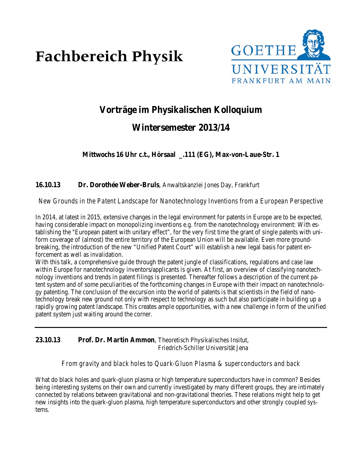# **Fachbereich Physik**



# **Vorträge im Physikalischen Kolloquium**

# **Wintersemester 2013/14**

**Mittwochs 16 Uhr c.t., Hörsaal \_.111 (EG), Max-von-Laue-Str. 1**

**16.10.13 Dr. Dorothée Weber-Bruls**, Anwaltskanzlei Jones Day, Frankfurt

*New Grounds in the Patent Landscape for Nanotechnology Inventions from a European Perspective*

In 2014, at latest in 2015, extensive changes in the legal environment for patents in Europe are to be expected, having considerable impact on monopolizing inventions e.g. from the nanotechnology environment: With establishing the "European patent with unitary effect", for the very first time the grant of single patents with uniform coverage of (almost) the entire territory of the European Union will be available. Even more groundbreaking, the introduction of the new "Unified Patent Court" will establish a new legal basis for patent enforcement as well as invalidation.

With this talk, a comprehensive guide through the patent jungle of classifications, regulations and case law within Europe for nanotechnology inventors/applicants is given. At first, an overview of classifying nanotechnology inventions and trends in patent filings is presented. Thereafter follows a description of the current patent system and of some peculiarities of the forthcoming changes in Europe with their impact on nanotechnology patenting. The conclusion of the excursion into the world of patents is that scientists in the field of nanotechnology break new ground not only with respect to technology as such but also participate in building up a rapidly growing patent landscape. This creates ample opportunities, with a new challenge in form of the unified patent system just waiting around the corner.

**23.10.13 Prof. Dr. Martin Ammon**, Theoretisch Physikalisches Insitut, Friedrich-Schiller Universität Jena

#### *From gravity and black holes to Quark-Gluon Plasma & superconductors and back*

What do black holes and quark-gluon plasma or high temperature superconductors have in common? Besides being interesting systems on their own and currently investigated by many different groups, they are intimately connected by relations between gravitational and non-gravitational theories. These relations might help to get new insights into the quark-gluon plasma, high temperature superconductors and other strongly coupled systems.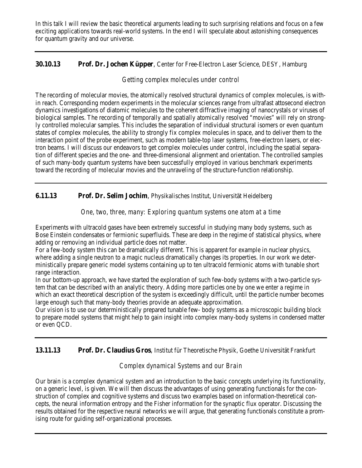In this talk I will review the basic theoretical arguments leading to such surprising relations and focus on a few exciting applications towards real-world systems. In the end I will speculate about astonishing consequences for quantum gravity and our universe.

#### **30.10.13 Prof. Dr. Jochen Küpper**, Center for Free-Electron Laser Science, DESY, Hamburg

## *Getting complex molecules under control*

The recording of molecular movies, the atomically resolved structural dynamics of complex molecules, is within reach. Corresponding modern experiments in the molecular sciences range from ultrafast attosecond electron dynamics investigations of diatomic molecules to the coherent diffractive imaging of nanocrystals or viruses of biological samples. The recording of temporally and spatially atomically resolved "movies" will rely on strongly controlled molecular samples. This includes the separation of individual structural isomers or even quantum states of complex molecules, the ability to strongly fix complex molecules in space, and to deliver them to the interaction point of the probe experiment, such as modern table-top laser systems, free-electron lasers, or electron beams. I will discuss our endeavors to get complex molecules under control, including the spatial separation of different species and the one- and three-dimensional alignment and orientation. The controlled samples of such many-body quantum systems have been successfully employed in various benchmark experiments toward the recording of molecular movies and the unraveling of the structure-function relationship.

## **6.11.13 Prof. Dr. Selim Jochim**, Physikalisches Institut, Universität Heidelberg

#### *One, two, three, many: Exploring quantum systems one atom at a time*

Experiments with ultracold gases have been extremely successful in studying many body systems, such as Bose Einstein condensates or fermionic superfluids. These are deep in the regime of statistical physics, where adding or removing an individual particle does not matter.

For a few-body system this can be dramatically different. This is apparent for example in nuclear physics, where adding a single neutron to a magic nucleus dramatically changes its properties. In our work we deterministically prepare generic model systems containing up to ten ultracold fermionic atoms with tunable short range interaction.

In our bottom-up approach, we have started the exploration of such few-body systems with a two-particle system that can be described with an analytic theory. Adding more particles one by one we enter a regime in which an exact theoretical description of the system is exceedingly difficult, until the particle number becomes large enough such that many-body theories provide an adequate approximation.

Our vision is to use our deterministically prepared tunable few- body systems as a microscopic building block to prepare model systems that might help to gain insight into complex many-body systems in condensed matter or even QCD.

#### **13.11.13 Prof. Dr. Claudius Gros**, Institut für Theoretische Physik, Goethe Universität Frankfurt

# *Complex dynamical Systems and our Brain*

Our brain is a complex dynamical system and an introduction to the basic concepts underlying its functionality, on a generic level, is given. We will then discuss the advantages of using generating functionals for the construction of complex and cognitive systems and discuss two examples based on information-theoretical concepts, the neural information entropy and the Fisher information for the synaptic flux operator. Discussing the results obtained for the respective neural networks we will argue, that generating functionals constitute a promising route for guiding self-organizational processes.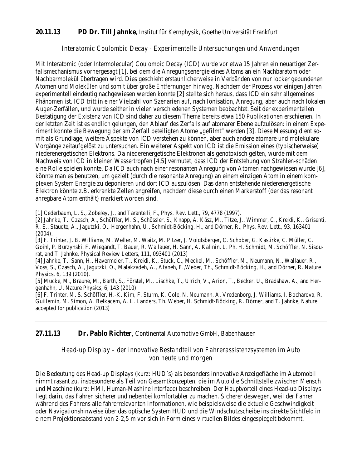#### **20.11.13 PD Dr. Till Jahnke**, Institut für Kernphysik, Goethe Universität Frankfurt

#### *Interatomic Coulombic Decay - Experimentelle Untersuchungen und Anwendungen*

Mit Interatomic (oder Intermolecular) Coulombic Decay (ICD) wurde vor etwa 15 Jahren ein neuartiger Zerfallsmechanismus vorhergesagt [1], bei dem die Anregungsenergie eines Atoms an ein Nachbaratom oder Nachbarmolekül übertragen wird. Dies geschieht erstaunlicherweise in Verbänden von nur locker gebundenen Atomen und Molekülen und somit über große Entfernungen hinweg. Nachdem der Prozess vor einigen Jahren experimentell eindeutig nachgewiesen werden konnte [2] stellte sich heraus, dass ICD ein sehr allgemeines Phänomen ist. ICD tritt in einer Vielzahl von Szenarien auf, nach Ionisation, Anregung, aber auch nach lokalen Auger-Zerfällen, und wurde seither in vielen verschiedenen Systemen beobachtet. Seit der experimentellen Bestätigung der Existenz von ICD sind daher zu diesem Thema bereits etwa 150 Publikationen erschienen. In der letzten Zeit ist es endlich gelungen, den Ablauf des Zerfalls auf atomarer Ebene aufzulösen: in einem Experiment konnte die Bewegung der am Zerfall beteiligten Atome "gefilmt" werden [3]. Diese Messung dient somit als Grundlage, weitere Aspekte von ICD verstehen zu können, aber auch andere atomare und molekulare Vorgänge zeitaufgelöst zu untersuchen. Ein weiterer Aspekt von ICD ist die Emission eines (typischerweise) niederenergetischen Elektrons. Da niederenergetische Elektronen als genotoxisch gelten, wurde mit dem Nachweis von ICD in kleinen Wassertropfen [4,5] vermutet, dass ICD der Entstehung von Strahlen-schäden eine Rolle spielen könnte. Da ICD auch nach einer resonanten Anregung von Atomen nachgewiesen wurde [6], könnte man es benutzen, um gezielt (durch die resonante Anregung) an einem einzigen Atom in einem komplexen System Energie zu deponieren und dort ICD auszulösen. Das dann entstehende niederenergetische Elektron könnte z.B. erkrankte Zellen angreifen, nachdem diese durch einen Markerstoff (der das resonant anregbare Atom enthält) markiert worden sind.

[1] Cederbaum, L. S., Zobeley, J., and Tarantelli, F., Phys. Rev. Lett., 79, 4778 (1997).

[2] Jahnke, T., Czasch, A., Schöffler, M. S., Schössler, S., Knapp, A. Käsz, M., Titze, J., Wimmer, C., Kreidi, K., Grisenti, R. E., Staudte, A., Jagutzki, O., Hergenhahn, U., Schmidt-Böcking, H., and Dörner, R., Phys. Rev. Lett., 93, 163401 (2004).

[3] F. Trinter, J. B. Williams, M. Weller, M. Waitz, M. Pitzer, J. Voigtsberger, C. Schober, G. Kastirke, C. Müller, C. Goihl, P. Burzynski, F. Wiegandt, T. Bauer, R. Wallauer, H. Sann, A. Kalinin, L. Ph. H. Schmidt, M. Schöffler, N. Sisourat, and T. Jahnke, Physical Review Letters, 111, 093401 (2013)

[4] Jahnke, T., Sann, H., Havermeier, T., Kreidi, K., Stuck, C., Meckel, M., Schöffler, M., Neumann, N., Wallauer, R., Voss, S., Czasch, A., Jagutzki, O., Malakzadeh, A., Afaneh, F.,Weber, Th., Schmidt-Böcking, H., and Dörner, R. Nature Physics, 6, 139 (2010).

[5] Mucke, M., Braune, M., Barth, S., Förstel, M., Lischke, T., Ulrich, V., Arion, T., Becker, U., Bradshaw, A., and Hergenhahn, U. Nature Physics, 6, 143 (2010).

[6] F. Trinter, M. S. Schöffler, H.-K. Kim, F. Sturm, K. Cole, N. Neumann, A. Vredenborg, J. Williams, I. Bocharova, R. Guillemin, M. Simon, A. Belkacem, A. L. Landers, Th. Weber, H. Schmidt-Böcking, R. Dörner, and T. Jahnke, Nature accepted for publication (2013)

#### **27.11.13 Dr. Pablo Richter**, Continental Automotive GmbH, Babenhausen

*Head-up Display – der innovative Bestandteil von Fahrerassistenzsystemen im Auto von heute und morgen*

Die Bedeutung des Head-up Displays (kurz: HUD´s) als besonders innovative Anzeigefläche im Automobil nimmt rasant zu, insbesondere als Teil von Gesamtkonzepten, die im Auto die Schnittstelle zwischen Mensch und Maschine (kurz: HMI, Human-Mashine Interface) beschreiben. Der Hauptvorteil eines Head-up Displays liegt darin, das Fahren sicherer und nebenbei komfortabler zu machen. Sicherer deswegen, weil der Fahrer während des Fahrens alle fahrerrelevanten Informationen, wie beispielsweise die aktuelle Geschwindigkeit oder Navigationshinweise über das optische System HUD und die Windschutzscheibe ins direkte Sichtfeld in einem Projektionsabstand von 2-2,5 m vor sich in Form eines virtuellen Bildes eingespiegelt bekommt.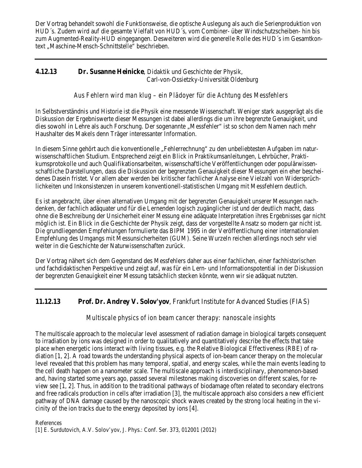Der Vortrag behandelt sowohl die Funktionsweise, die optische Auslegung als auch die Serienproduktion von HUD´s. Zudem wird auf die gesamte Vielfalt von HUD´s, vom Combiner- über Windschutzscheiben- hin bis zum Augmented-Reality-HUD eingegangen. Desweiteren wird die generelle Rolle des HUD´s im Gesamtkontext "Maschine-Mensch-Schnittstelle" beschrieben.

#### **4.12.13 Dr. Susanne Heinicke**, Didaktik und Geschichte der Physik, Carl-von-Ossietzky-Universität Oldenburg

#### *Aus Fehlern wird man klug – ein Plädoyer für die Achtung des Messfehlers*

In Selbstverständnis und Historie ist die Physik eine messende Wissenschaft. Weniger stark ausgeprägt als die Diskussion der Ergebniswerte dieser Messungen ist dabei allerdings die um ihre begrenzte Genauigkeit, und dies sowohl in Lehre als auch Forschung. Der sogenannte "Messfehler" ist so schon dem Namen nach mehr Haushalter des Makels denn Träger interessanter Information.

In diesem Sinne gehört auch die konventionelle "Fehlerrechnung" zu den unbeliebtesten Aufgaben im naturwissenschaftlichen Studium. Entsprechend zeigt ein Blick in Praktikumsanleitungen, Lehrbücher, Praktikumsprotokolle und auch Qualifikationsarbeiten, wissenschaftliche Veröffentlichungen oder populärwissenschaftliche Darstellungen, dass die Diskussion der begrenzten Genauigkeit dieser Messungen ein eher bescheidenes Dasein fristet. Vor allem aber werden bei kritischer fachlicher Analyse eine Vielzahl von Widersprüchlichkeiten und Inkonsistenzen in unserem konventionell-statistischen Umgang mit Messfehlern deutlich.

Es ist angebracht, über einen alternativen Umgang mit der begrenzten Genauigkeit unserer Messungen nachdenken, der fachlich adäquater und für die Lernenden logisch zugänglicher ist und der deutlich macht, dass ohne die Beschreibung der Unsicherheit einer Messung eine adäquate Interpretation ihres Ergebnisses gar nicht möglich ist. Ein Blick in die Geschichte der Physik zeigt, dass der vorgestellte Ansatz so modern gar nicht ist. Die grundliegenden Empfehlungen formulierte das BIPM 1995 in der Veröffentlichung einer internationalen Empfehlung des Umgangs mit Messunsicherheiten (GUM). Seine Wurzeln reichen allerdings noch sehr viel weiter in die Geschichte der Naturwissenschaften zurück.

Der Vortrag nähert sich dem Gegenstand des Messfehlers daher aus einer fachlichen, einer fachhistorischen und fachdidaktischen Perspektive und zeigt auf, was für ein Lern- und Informationspotential in der Diskussion der begrenzten Genauigkeit einer Messung tatsächlich stecken könnte, wenn wir sie adäquat nutzten.

#### **11.12.13 Prof. Dr. Andrey V. Solov'yov**, Frankfurt Institute for Advanced Studies (FIAS)

#### *Multiscale physics of ion beam cancer therapy: nanoscale insights*

The multiscale approach to the molecular level assessment of radiation damage in biological targets consequent to irradiation by ions was designed in order to qualitatively and quantitatively describe the effects that take place when energetic ions interact with living tissues, e.g. the Relative Biological Effectiveness (RBE) of radiation [1, 2]. A road towards the understanding physical aspects of ion-beam cancer therapy on the molecular level revealed that this problem has many temporal, spatial, and energy scales, while the main events leading to the cell death happen on a nanometer scale. The multiscale approach is interdisciplinary, phenomenon-based and, having started some years ago, passed several milestones making discoveries on different scales, for review see [1, 2]. Thus, in addition to the traditional pathways of biodamage often related to secondary electrons and free radicals production in cells after irradiation [3], the multiscale approach also considers a new efficient pathway of DNA damage caused by the nanoscopic shock waves created by the strong local heating in the vicinity of the ion tracks due to the energy deposited by ions [4].

#### References

[1] E. Surdutovich, A.V. Solov'yov, J. Phys.: Conf. Ser. 373, 012001 (2012)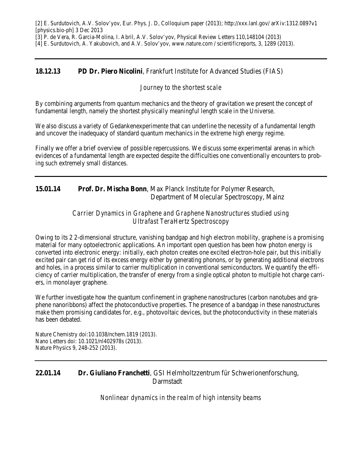[2] E. Surdutovich, A.V. Solov'yov, Eur. Phys. J. D, Colloquium paper (2013); http://xxx.lanl.gov/ arXiv:1312.0897v1 [physics.bio-ph] 3 Dec 2013

[3] P. de Vera, R. Garcia-Molina, I. Abril, A.V. Solov'yov, Physical Review Letters 110,148104 (2013)

[4] E. Surdutovich, A. Yakubovich, and A.V. Solov'yov, www.nature.com / scientificreports, 3, 1289 (2013).

#### **18.12.13 PD Dr. Piero Nicolini**, Frankfurt Institute for Advanced Studies (FIAS)

#### *Journey to the shortest scale*

By combining arguments from quantum mechanics and the theory of gravitation we present the concept of fundamental length, namely the shortest physically meaningful length scale in the Universe.

We also discuss a variety of Gedankenexperimente that can underline the necessity of a fundamental length and uncover the inadequacy of standard quantum mechanics in the extreme high energy regime.

Finally we offer a brief overview of possible repercussions. We discuss some experimental arenas in which evidences of a fundamental length are expected despite the difficulties one conventionally encounters to probing such extremely small distances.

#### **15.01.14 Prof. Dr. Mischa Bonn**, Max Planck Institute for Polymer Research, Department of Molecular Spectroscopy, Mainz

#### *Carrier Dynamics in Graphene and Graphene Nanostructures studied using Ultrafast TeraHertz Spectroscopy*

Owing to its 2 2-dimensional structure, vanishing bandgap and high electron mobility, graphene is a promising material for many optoelectronic applications. An important open question has been how photon energy is converted into electronic energy: initially, each photon creates one excited electron-hole pair, but this initially excited pair can get rid of its excess energy either by generating phonons, or by generating additional electrons and holes, in a process similar to carrier multiplication in conventional semiconductors. We quantify the efficiency of carrier multiplication, the transfer of energy from a single optical photon to multiple hot charge carriers, in monolayer graphene.

We further investigate how the quantum confinement in graphene nanostructures (carbon nanotubes and graphene nanoribbons) affect the photoconductive properties. The presence of a bandgap in these nanostructures make them promising candidates for, e.g., photovoltaic devices, but the photoconductivity in these materials has been debated.

Nature Chemistry doi:10.1038/nchem.1819 (2013). Nano Letters doi: 10.1021/nl402978s (2013). Nature Physics 9, 248-252 (2013).

#### **22.01.14 Dr. Giuliano Franchetti**, GSI Helmholtzzentrum für Schwerionenforschung, Darmstadt

*Nonlinear dynamics in the realm of high intensity beams*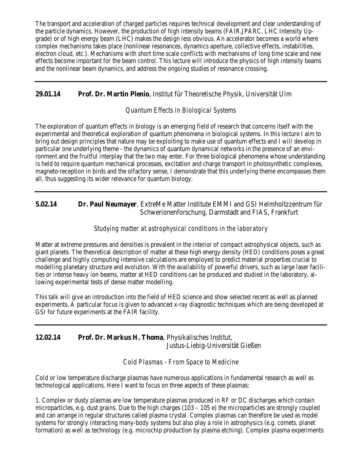The transport and acceleration of charged particles requires technical development and clear understanding of the particle dynamics. However, the production of high intensity beams (FAIR,JPARC, LHC Intensity Upgrade) or of high energy beam (LHC) makes the design less obvious. An accelerator becomes a world where complex mechanisms takes place (nonlinear resonances, dynamics aperture, collective effects, instabilities, electron cloud, etc.). Mechanisms with short time scale conflicts with mechanisms of long time scale and new effects become important for the beam control. This lecture will introduce the physics of high intensity beams and the nonlinear beam dynamics, and address the ongoing studies of resonance crossing.

# **29.01.14 Prof. Dr. Martin Plenio**, Institut für Theoretische Physik, Universität Ulm

## *Quantum Effects in Biological Systems*

The exploration of quantum effects in biology is an emerging field of research that concerns itself with the experimental and theoretical exploration of quantum phenomena in biological systems. In this lecture I aim to bring out design principles that nature may be exploiting to make use of quantum effects and I will develop in particular one underlying theme - the dynamics of quantum dynamical networks in the presence of an environment and the fruitful interplay that the two may enter. For three biological phenomena whose understanding is held to require quantum mechanical processes, excitation and charge transport in photosynthetic complexes, magneto-reception in birds and the olfactory sense, I demonstrate that this underlying theme encompasses them all, thus suggesting its wider relevance for quantum biology.

#### **5.02.14 Dr. Paul Neumayer**, ExtreMe Matter Institute EMMI and GSI Helmholtzzentrum für Schwerionenforschung, Darmstadt and FIAS, Frankfurt

#### *Studying matter at astrophysical conditions in the laboratory*

Matter at extreme pressures and densities is prevalent in the interior of compact astrophysical objects, such as giant planets. The theoretical description of matter at these high energy density (HED) conditions poses a great challenge and highly computing intensive calculations are employed to predict material properties crucial to modelling planetary structure and evolution. With the availability of powerful drivers, such as large laser facilities or intense heavy ion beams, matter at HED conditions can be produced and studied in the laboratory, allowing experimental tests of dense matter modelling.

This talk will give an introduction into the field of HED science and show selected recent as well as planned experiments. A particular focus is given to advanced x-ray diagnostic techniques which are being developed at GSI for future experiments at the FAIR facility.

## **12.02.14 Prof. Dr. Markus H. Thoma**, Physikalisches Institut, Justus-Liebig-Universität Gießen

#### *Cold Plasmas - From Space to Medicine*

Cold or low temperature discharge plasmas have numerous applications in fundamental research as well as technological applications. Here I want to focus on three aspects of these plasmas:

1. Complex or dusty plasmas are low temperature plasmas produced in RF or DC discharges which contain microparticles, e.g. dust grains. Due to the high charges (103 – 105 e) the microparticles are strongly coupled and can arrange in regular structures called plasma crystal. Complex plasmas can therefore be used as model systems for strongly interacting many-body systems but also play a role in astrophysics (e.g. comets, planet formation) as well as technology (e.g. microchip production by plasma etching). Complex plasma experiments